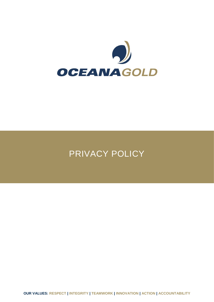

# PRIVACY POLICY

**OUR VALUES: RESPECT | INTEGRITY | TEAMWORK | INNOVATION | ACTION | ACCOUNTABILITY**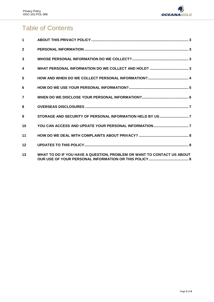

# Table of Contents

| $\blacktriangleleft$ |  |
|----------------------|--|
| $\overline{2}$       |  |
| 3                    |  |
| $\boldsymbol{4}$     |  |
| 5                    |  |
| 6                    |  |
| $\overline{7}$       |  |
| 8                    |  |
| 9                    |  |
|                      |  |
| 10                   |  |
| 11                   |  |
| 12                   |  |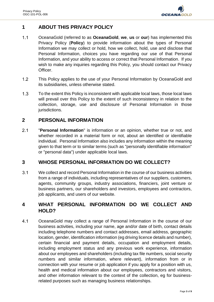

# <span id="page-2-0"></span>**1 ABOUT THIS PRIVACY POLICY**

- $1.1$ OceanaGold (referred to as **OceanaGold**, **we**, **us** or **our**) has implemented this Privacy Policy (**Policy**) to provide information about the types of Personal Information we may collect or hold, how we collect, hold, use and disclose that Personal Information, choices you have regarding our use of that Personal Information, and your ability to access or correct that Personal Information. If you wish to make any inquiries regarding this Policy, you should contact our Privacy Officer.
- $1.2$ This Policy applies to the use of your Personal Information by OceanaGold and its subsidiaries, unless otherwise stated.
- $1.3$ To the extent this Policy is inconsistent with applicable local laws, those local laws will prevail over this Policy to the extent of such inconsistency in relation to the collection, storage, use and disclosure of Personal Information in those jurisdictions.

# <span id="page-2-1"></span>**2 PERSONAL INFORMATION**

 $2.1$ "**Personal Information**" is information or an opinion, whether true or not, and whether recorded in a material form or not, about an identified or identifiable individual. Personal Information also includes any information within the meaning given to that term or to similar terms (such as "personally identifiable information" or "personal data") under applicable local laws.

#### <span id="page-2-2"></span>**3 WHOSE PERSONAL INFORMATION DO WE COLLECT?**

 $3.1$ We collect and record Personal Information in the course of our business activities from a range of individuals, including representatives of our suppliers, customers, agents, community groups, industry associations, financiers, joint venture or business partners, our shareholders and investors, employees and contractors, job applicants, and users of our website.

# <span id="page-2-3"></span>**4 WHAT PERSONAL INFORMATION DO WE COLLECT AND HOLD?**

 $4.1$ OceanaGold may collect a range of Personal Information in the course of our business activities, including your name, age and/or date of birth, contact details including telephone numbers and contact addresses, email address, geographic location, gender, identification information (eg driving licence details and number), certain financial and payment details, occupation and employment details, including employment status and any previous work experience, information about our employees and shareholders (including tax file numbers, social security numbers and similar information, where relevant), information from or in connection with your resume or job application if you apply for a position with us, health and medical information about our employees, contractors and visitors, and other information relevant to the context of the collection, eg for businessrelated purposes such as managing business relationships.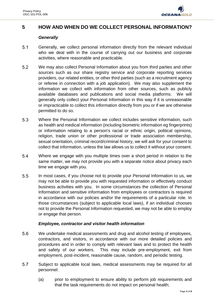

# <span id="page-3-0"></span>**5 HOW AND WHEN DO WE COLLECT PERSONAL INFORMATION?**

#### *Generally*

- $5.1$ Generally, we collect personal information directly from the relevant individual who we deal with in the course of carrying out our business and corporate activities, where reasonable and practicable.
- $5.2$ We may also collect Personal Information about you from third parties and other sources such as our share registry service and corporate reporting services providers, our related entities, or other third parties (such as a recruitment agency or referee in connection with a job application). We may also supplement the information we collect with information from other sources, such as publicly available databases and publications and social media platforms. We will generally only collect your Personal Information in this way if it is unreasonable or impracticable to collect this information directly from you or if we are otherwise permitted to do so.
- 5.3 Where the Personal Information we collect includes sensitive information, such as health and medical information (including biometric information eg fingerprints) or information relating to a person's racial or ethnic origin, political opinions, religion, trade union or other professional or trade association membership, sexual orientation, criminal record/criminal history, we will ask for your consent to collect that information, unless the law allows us to collect it without your consent.
- 5.4 Where we engage with you multiple times over a short period in relation to the same matter, we may not provide you with a separate notice about privacy each time we engage with you.
- $5.5$ In most cases, if you choose not to provide your Personal Information to us, we may not be able to provide you with requested information or effectively conduct business activities with you. In some circumstances the collection of Personal Information and sensitive information from employees or contractors is required in accordance with our policies and/or the requirements of a particular role. In those circumstances (subject to applicable local laws), if an individual chooses not to provide the Personal Information requested, we may not be able to employ or engage that person.

#### *Employee, contractor and visitor health information*

- 5.6 We undertake medical assessments and drug and alcohol testing of employees, contractors, and visitors, in accordance with our more detailed policies and procedures and in order to comply with relevant laws and to protect the health and safety of our workers. This may include pre-employment, exit from employment, post-incident, reasonable cause, random, and periodic testing.
- 5.7 Subject to applicable local laws, medical assessments may be required for all personnel:
	- (a) prior to employment to ensure ability to perform job requirements and that the task requirements do not impact on personal health;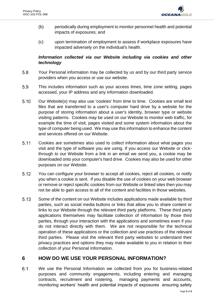

- (b) periodically during employment to monitor personnel health and potential impacts of exposures; and
- (c) upon termination of employment to assess if workplace exposures have impacted adversely on the individual's health.

#### *Information collected via our Website including via cookies and other technology*

- 5.8 Your Personal information may be collected by us and by our third party service providers when you access or use our website.
- 5.9 This includes information such as your access times, time zone setting, pages accessed, your IP address and any information downloaded.
- $5.10$ Our Website(s) may also use 'cookies' from time to time. Cookies are small text files that are transferred to a user's computer hard drive by a website for the purpose of storing information about a user's identity, browser type or website visiting patterns. Cookies may be used on our Website to monitor web traffic, for example the time of visit, pages visited and some system information about the type of computer being used. We may use this information to enhance the content and services offered on our Website.
- $5.11$ Cookies are sometimes also used to collect information about what pages you visit and the type of software you are using. If you access our Website or clickthrough to our Website from a link in an email we send you, a cookie may be downloaded onto your computer's hard drive. Cookies may also be used for other purposes on our Website.
- $5.12$ You can configure your browser to accept all cookies, reject all cookies, or notify you when a cookie is sent. If you disable the use of cookies on your web browser or remove or reject specific cookies from our Website or linked sites then you may not be able to gain access to all of the content and facilities in those websites.
- 5.13 Some of the content on our Website includes applications made available by third parties, such as social media buttons or links that allow you to share content or links to our Website through the relevant third party platforms. These third party applications themselves may facilitate collection of information by those third parties, through your interaction with the applications and sometimes even if you do not interact directly with them. We are not responsible for the technical operation of these applications or the collection and use practices of the relevant third parties. Please visit the relevant third party websites to understand their privacy practices and options they may make available to you in relation to their collection of your Personal Information.

#### <span id="page-4-0"></span>**6 HOW DO WE USE YOUR PERSONAL INFORMATION?**

 $6.1$ We use the Personal Information we collected from you for business-related purposes and community engagements, including entering and managing contracts, recruitment and rostering, managing payments and accounts, monitoring workers' health and potential impacts of exposures ensuring safety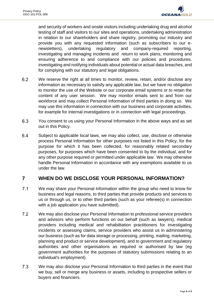

and security of workers and onsite visitors including undertaking drug and alcohol testing of staff and visitors to our sites and operations, undertaking administration in relation to our shareholders and share registry, promoting our industry and provide you with any requested information (such as subscribers to our enewsletters), undertaking regulatory and company-required reporting, investigating and managing incidents and return to work plans, monitoring and ensuring adherence to and compliance with our policies and procedures, investigating and notifying individuals about potential or actual data breaches, and for complying with our statutory and legal obligations.

- $6.2$ We reserve the right at all times to monitor, review, retain, and/or disclose any information as necessary to satisfy any applicable law, but we have no obligation to monitor the use of the Website or our corporate email systems or to retain the content of any user session. We may monitor emails sent to and from our workforce and may collect Personal Information of third parties in doing so. We may use this information in connection with our business and corporate activities, for example for internal investigations or in connection with legal proceedings.
- 6.3 You consent to us using your Personal Information in the above ways and as set out in this Policy.
- 6.4 Subject to applicable local laws, we may also collect, use, disclose or otherwise process Personal Information for other purposes not listed in this Policy, for the purpose for which it has been collected, for reasonably related secondary purposes, for purposes which have been consented to by the individual, and for any other purpose required or permitted under applicable law. We may otherwise handle Personal Information in accordance with any exemptions available to us under the law.

# <span id="page-5-0"></span>**7 WHEN DO WE DISCLOSE YOUR PERSONAL INFORMATION?**

- $7.1$ We may share your Personal Information within the group who need to know for business and legal reasons, to third parties that provide products and services to us or through us, or to other third parties (such as your referee(s) in connection with a job application you have submitted).
- $7.2$ We may also disclose your Personal Information to professional service providers and advisors who perform functions on our behalf (such as lawyers), medical providers including medical and rehabilitation practitioners for investigating incidents or assessing claims, service providers who assist us in administering our business (such as for data storage or processing, printing, mailing, marketing, planning and product or service development), and to government and regulatory authorities and other organisations as required or authorised by law (eg government authorities for the purposes of statutory submissions relating to an individual's employment).
- $7.3$ We may also disclose your Personal Information to third parties in the event that we buy, sell or merge any business or assets, including to prospective sellers or buyers and financiers.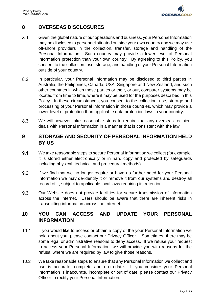

# <span id="page-6-0"></span>**8 OVERSEAS DISCLOSURES**

- $8.1$ Given the global nature of our operations and business, your Personal Information may be disclosed to personnel situated outside your own country and we may use off-shore providers in the collection, transfer, storage and handling of the Personal Information. Such country may provide a lower level of Personal Information protection than your own country. By agreeing to this Policy, you consent to the collection, use, storage, and handling of your Personal Information outside of your country.
- 8.2 In particular, your Personal Information may be disclosed to third parties in Australia, the Philippines, Canada, USA, Singapore and New Zealand, and such other countries in which those parties or their, or our, computer systems may be located from time to time, where it may be used for the purposes described in this Policy. In these circumstances, you consent to the collection, use, storage and processing of your Personal Information in those countries, which may provide a lower level of protection than applicable data protection laws in your country.
- 8.3 We will however take reasonable steps to require that any overseas recipient deals with Personal Information in a manner that is consistent with the law.

# <span id="page-6-1"></span>**9 STORAGE AND SECURITY OF PERSONAL INFORMATION HELD BY US**

- $9.1$ We take reasonable steps to secure Personal Information we collect (for example, it is stored either electronically or in hard copy and protected by safeguards including physical, technical and procedural methods).
- 9.2 If we find that we no longer require or have no further need for your Personal Information we may de-identify it or remove it from our systems and destroy all record of it, subject to applicable local laws requiring its retention.
- 9.3 Our Website does not provide facilities for secure transmission of information across the Internet. Users should be aware that there are inherent risks in transmitting information across the Internet.

# <span id="page-6-2"></span>**10 YOU CAN ACCESS AND UPDATE YOUR PERSONAL INFORMATION**

- $10.1$ If you would like to access or obtain a copy of the your Personal Information we hold about you, please contact our Privacy Officer. Sometimes, there may be some legal or administrative reasons to deny access. If we refuse your request to access your Personal Information, we will provide you with reasons for the refusal where we are required by law to give those reasons.
- $10.2$ We take reasonable steps to ensure that any Personal Information we collect and use is accurate, complete and up-to-date. If you consider your Personal Information is inaccurate, incomplete or out of date, please contact our Privacy Officer to rectify your Personal Information.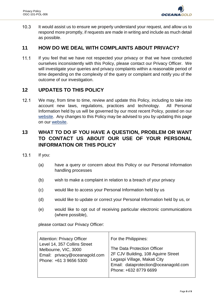

 $10.3$ It would assist us to ensure we properly understand your request, and allow us to respond more promptly, if requests are made in writing and include as much detail as possible.

### <span id="page-7-0"></span>**11 HOW DO WE DEAL WITH COMPLAINTS ABOUT PRIVACY?**

 $11.1$ If you feel that we have not respected your privacy or that we have conducted ourselves inconsistently with this Policy, please contact our Privacy Officer. We will investigate your queries and privacy complaints within a reasonable period of time depending on the complexity of the query or complaint and notify you of the outcome of our investigation.

# <span id="page-7-1"></span>**12 UPDATES TO THIS POLICY**

 $12.1$ We may, from time to time, review and update this Policy, including to take into account new laws, regulations, practices and technology. All Personal Information held by us will be governed by our most recent Policy, posted on our [website.](https://www.oceanagold.com/) Any changes to this Policy may be advised to you by updating this page on our [website.](https://www.oceanagold.com/)

# <span id="page-7-2"></span>**13 WHAT TO DO IF YOU HAVE A QUESTION, PROBLEM OR WANT TO CONTACT US ABOUT OUR USE OF YOUR PERSONAL INFORMATION OR THIS POLICY**

- $13.1$ If you:
	- (a) have a query or concern about this Policy or our Personal Information handling processes
	- (b) wish to make a complaint in relation to a breach of your privacy
	- (c) would like to access your Personal Information held by us
	- (d) would like to update or correct your Personal Information held by us, or
	- (e) would like to opt out of receiving particular electronic communications (where possible),

please contact our Privacy Officer:

| <b>Attention: Privacy Officer</b> | For the Philippines:                 |
|-----------------------------------|--------------------------------------|
| Level 14, 357 Collins Street      | The Data Protection Officer          |
| Melbourne, VIC, 3000              | 2F CJV Building, 108 Aguirre Street  |
| Email: privacy@oceanagold.com     | Legaspi Village, Makati City         |
| Phone: +61 3 9656 5300            | Email: dataprotection@oceanagold.com |
|                                   | Phone: +632 8779 6699                |